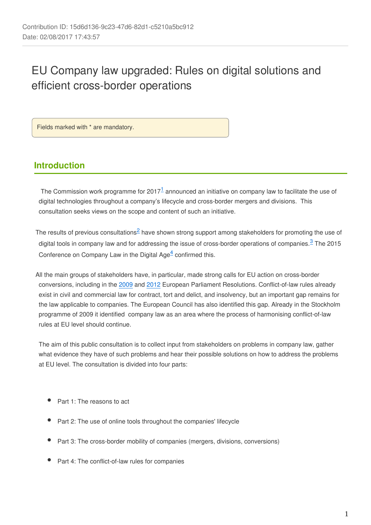# EU Company law upgraded: Rules on digital solutions and efficient cross-border operations

Fields marked with \* are mandatory.

## **Introduction**

The Commission work programme for 2017<sup>1</sup> announced an initiative on company law to facilitate the use of digital technologies throughout a company's lifecycle and cross-border mergers and divisions. This consultation seeks views on the scope and content of such an initiative.

The results of previous consultations  $\triangleq$  have shown strong support among stakeholders for promoting the use of digital tools in company law and for addressing the issue of cross-border operations of companies. $3$  The 2015 Conference on Company Law in the Digital  $Aq e<sup>4</sup>$  confirmed this.

All the main groups of stakeholders have, in particular, made strong calls for EU action on cross-border conversions, including in the [2009](http://www.europarl.europa.eu/sides/getDoc.do?pubRef=-//EP//TEXT+TA+P6-TA-2009-0086+0+DOC+XML+V0//EN) and [2012](http://www.europarl.europa.eu/sides/getDoc.do?type=TA&language=EN&reference=P7-TA-2012-0019) European Parliament Resolutions. Conflict-of-law rules already exist in civil and commercial law for contract, tort and delict, and insolvency, but an important gap remains for the law applicable to companies. The European Council has also identified this gap. Already in the Stockholm programme of 2009 it identified company law as an area where the process of harmonising conflict-of-law rules at EU level should continue.

The aim of this public consultation is to collect input from stakeholders on problems in company law, gather what evidence they have of such problems and hear their possible solutions on how to address the problems at EU level. The consultation is divided into four parts:

- Part 1: The reasons to act
- Part 2: The use of online tools throughout the companies' lifecycle
- Part 3: The cross-border mobility of companies (mergers, divisions, conversions)
- Part 4: The conflict-of-law rules for companies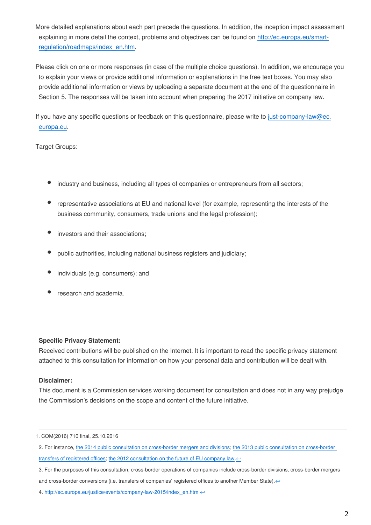More detailed explanations about each part precede the questions. In addition, the inception impact assessment explaining in more detail the context, problems and objectives can be found on [http://ec.europa.eu/smart](http://ec.europa.eu/smart-regulation/roadmaps/index_en.htm)[regulation/roadmaps/index\\_en.htm](http://ec.europa.eu/smart-regulation/roadmaps/index_en.htm).

Please click on one or more responses (in case of the multiple choice questions). In addition, we encourage you to explain your views or provide additional information or explanations in the free text boxes. You may also provide additional information or views by uploading a separate document at the end of the questionnaire in Section 5. The responses will be taken into account when preparing the 2017 initiative on company law.

If you have any specific questions or feedback on this questionnaire, please write to just-company-law@ec. europa.eu.

Target Groups:

- industry and business, including all types of companies or entrepreneurs from all sectors;
- representative associations at EU and national level (for example, representing the interests of the business community, consumers, trade unions and the legal profession);
- investors and their associations;
- public authorities, including national business registers and judiciary;
- individuals (e.g. consumers); and
- research and academia.

#### **Specific Privacy Statement:**

Received contributions will be published on the Internet. It is important to read the specific privacy statement attached to this consultation for information on how your personal data and contribution will be dealt with.

#### **Disclaimer:**

This document is a Commission services working document for consultation and does not in any way prejudge the Commission's decisions on the scope and content of the future initiative.

<sup>1.</sup> COM(2016) 710 final, 25.10.2016

<sup>2.</sup> For instance, [the 2014 public consultation on cross-border mergers and divisions](http://ec.europa.eu/internal_market/consultations/2014/cross-border-mergers-divisions/index_en.htm); [the 2013 public consultation on cross-border](http://ec.europa.eu/internal_market/consultations/2013/seat-transfer/index_en.htm)  [transfers of registered offices;](http://ec.europa.eu/internal_market/consultations/2013/seat-transfer/index_en.htm) [the 2012 consultation on the future of EU company law.](http://ec.europa.eu/internal_market/consultations/2012/company_law_en.htm) $\leftrightarrow$ 

<sup>3.</sup> For the purposes of this consultation, cross-border operations of companies include cross-border divisions, cross-border mergers and cross-border conversions (i.e. transfers of companies' registered offices to another Member State). $\leftrightarrow$ 

<sup>4.</sup> [http://ec.europa.eu/justice/events/company-law-2015/index\\_en.htm](http://ec.europa.eu/justice/events/company-law-2015/index_en.htm)  $\leftrightarrow$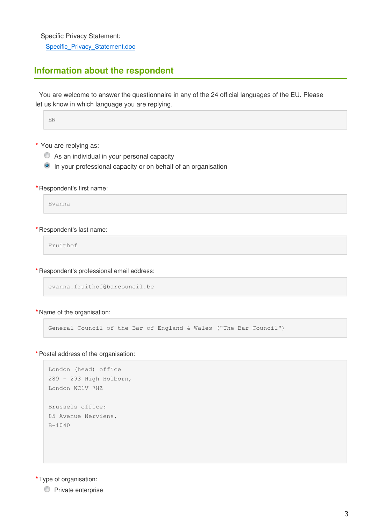Specific Privacy Statement:

Specific\_Privacy\_Statement.doc

## **Information about the respondent**

You are welcome to answer the questionnaire in any of the 24 official languages of the EU. Please let us know in which language you are replying.

EN

- **\*** You are replying as:
	- As an individual in your personal capacity
	- <sup>O</sup> In your professional capacity or on behalf of an organisation
- **\*** Respondent's first name:

Evanna

#### **\*** Respondent's last name:

Fruithof

**\*** Respondent's professional email address:

```
evanna.fruithof@barcouncil.be
```
**\*** Name of the organisation:

General Council of the Bar of England & Wales ("The Bar Council")

**\***Postal address of the organisation:

```
London (head) office
289 - 293 High Holborn,
London WC1V 7HZ
Brussels office:
85 Avenue Nerviens,
B-1040
```
**\***Type of organisation:

**Private enterprise**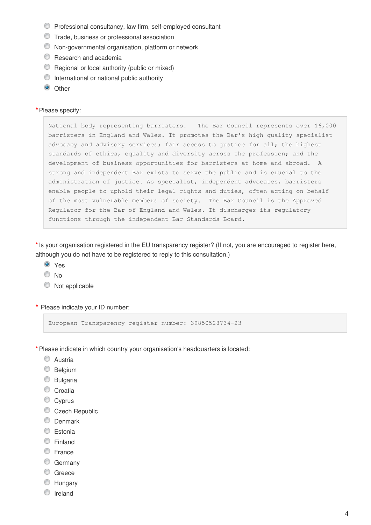- Professional consultancy, law firm, self-employed consultant
- Trade, business or professional association
- Non-governmental organisation, platform or network
- **C** Research and academia
- Regional or local authority (public or mixed)
- $\circledcirc$  International or national public authority
- **O** Other

#### **\***Please specify:

National body representing barristers. The Bar Council represents over 16,000 barristers in England and Wales. It promotes the Bar's high quality specialist advocacy and advisory services; fair access to justice for all; the highest standards of ethics, equality and diversity across the profession; and the development of business opportunities for barristers at home and abroad. A strong and independent Bar exists to serve the public and is crucial to the administration of justice. As specialist, independent advocates, barristers enable people to uphold their legal rights and duties, often acting on behalf of the most vulnerable members of society. The Bar Council is the Approved Regulator for the Bar of England and Wales. It discharges its regulatory functions through the independent Bar Standards Board.

**\***Is your organisation registered in the EU transparency register? (If not, you are encouraged to register here, although you do not have to be registered to reply to this consultation.)

- <sup>O</sup> Yes
- No
- $\bullet$  Not applicable
- **\*** Please indicate your ID number:

European Transparency register number: 39850528734-23

- **\***Please indicate in which country your organisation's headquarters is located:
	- C Austria
	- **Belgium**
	- C Bulgaria
	- Croatia
	- Cyprus
	- Czech Republic
	- **C** Denmark
	- C Estonia
	- Finland
	- C France
	- C Germany
	- C Greece
	- **Hungary**
	- **O** Ireland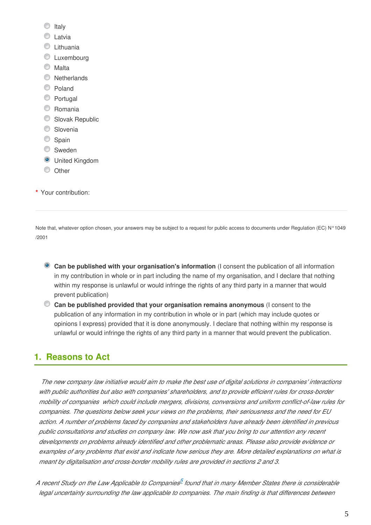- $\circ$  Italy
- **C** Latvia
- **C** Lithuania
- **C** Luxembourg
- C Malta
- **Netherlands**
- C Poland
- C Portugal
- C Romania
- Slovak Republic
- C Slovenia
- Spain
- **Sweden**
- **O** United Kingdom
- C Other

**\*** Your contribution:

Note that, whatever option chosen, your answers may be subject to a request for public access to documents under Regulation (EC) N°1049 /2001

- **Can be published with your organisation's information** (I consent the publication of all information in my contribution in whole or in part including the name of my organisation, and I declare that nothing within my response is unlawful or would infringe the rights of any third party in a manner that would prevent publication)
- **Can be published provided that your organisation remains anonymous** (I consent to the publication of any information in my contribution in whole or in part (which may include quotes or opinions I express) provided that it is done anonymously. I declare that nothing within my response is unlawful or would infringe the rights of any third party in a manner that would prevent the publication.

## **1. Reasons to Act**

*The new company law initiative would aim to make the best use of digital solutions in companies' interactions with public authorities but also with companies' shareholders, and to provide efficient rules for cross-border mobility of companies which could include mergers, divisions, conversions and uniform conflict-of-law rules for companies. The questions below seek your views on the problems, their seriousness and the need for EU action. A number of problems faced by companies and stakeholders have already been identified in previous public consultations and studies on company law. We now ask that you bring to our attention any recent developments on problems already identified and other problematic areas. Please also provide evidence or examples of any problems that exist and indicate how serious they are. More detailed explanations on what is meant by digitalisation and cross-border mobility rules are provided in sections 2 and 3.*

A recent Study on the Law Applicable to Companies<sup>5</sup> found that in many Member States there is considerable *legal uncertainty surrounding the law applicable to companies. The main finding is that differences between*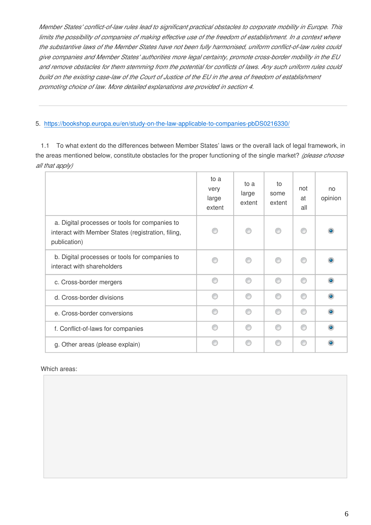*Member States' conflict-of-law rules lead to significant practical obstacles to corporate mobility in Europe. This limits the possibility of companies of making effective use of the freedom of establishment. In a context where the substantive laws of the Member States have not been fully harmonised, uniform conflict-of-law rules could give companies and Member States' authorities more legal certainty, promote cross-border mobility in the EU and remove obstacles for them stemming from the potential for conflicts of laws. Any such uniform rules could build on the existing case-law of the Court of Justice of the EU in the area of freedom of establishment promoting choice of law. More detailed explanations are provided in section 4.*

#### 5. <https://bookshop.europa.eu/en/study-on-the-law-applicable-to-companies-pbDS0216330/>

1.1 To what extent do the differences between Member States' laws or the overall lack of legal framework, in the areas mentioned below, constitute obstacles for the proper functioning of the single market? *(please choose all that apply)*

|                                                                                                                      | to a<br>very<br>large<br>extent | to a<br>large<br>extent | to<br>some<br>extent | not<br>at<br>all | no<br>opinion |
|----------------------------------------------------------------------------------------------------------------------|---------------------------------|-------------------------|----------------------|------------------|---------------|
| a. Digital processes or tools for companies to<br>interact with Member States (registration, filing,<br>publication) |                                 |                         | ∩                    | ⊙                |               |
| b. Digital processes or tools for companies to<br>interact with shareholders                                         |                                 |                         | ∩                    | ∩                |               |
| c. Cross-border mergers                                                                                              | ⋒                               | ⋒                       | ⋒                    | ∩                |               |
| d. Cross-border divisions                                                                                            |                                 | ⋒                       | ⋒                    | ⊙                |               |
| e. Cross-border conversions                                                                                          | ⋒                               | ⋒                       | ∩                    | ∩                |               |
| f. Conflict-of-laws for companies                                                                                    | ⋒                               | ⋒                       | ∩                    | ⊙                |               |
| g. Other areas (please explain)                                                                                      | ⋒                               | ⋒                       | ⋒                    | ⋒                |               |

#### Which areas: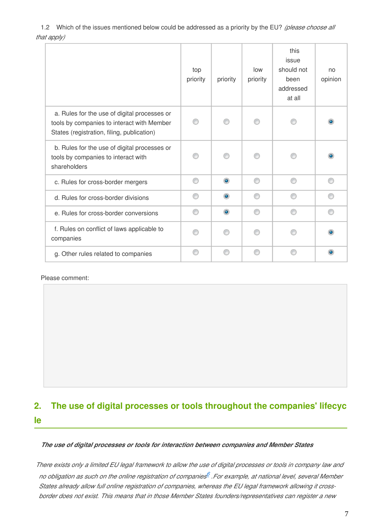1.2 Which of the issues mentioned below could be addressed as a priority by the EU? *(please choose all that apply)*

|                                                                                                                                          | top<br>priority | priority  | low<br>priority | this<br>issue<br>should not<br>been<br>addressed<br>at all | no<br>opinion |
|------------------------------------------------------------------------------------------------------------------------------------------|-----------------|-----------|-----------------|------------------------------------------------------------|---------------|
| a. Rules for the use of digital processes or<br>tools by companies to interact with Member<br>States (registration, filing, publication) |                 |           |                 |                                                            |               |
| b. Rules for the use of digital processes or<br>tools by companies to interact with<br>shareholders                                      |                 |           |                 |                                                            |               |
| c. Rules for cross-border mergers                                                                                                        | ⊙               | $\bullet$ | ∩               | ⊙                                                          |               |
| d. Rules for cross-border divisions                                                                                                      | ⋒               | $\bullet$ | ⋒               | ⋒                                                          |               |
| e. Rules for cross-border conversions                                                                                                    | ⋒               | $\bullet$ | ⋒               | ∩                                                          |               |
| f. Rules on conflict of laws applicable to<br>companies                                                                                  |                 |           |                 |                                                            |               |
| g. Other rules related to companies                                                                                                      |                 |           |                 |                                                            |               |

#### Please comment:

## **2. The use of digital processes or tools throughout the companies' lifecyc le**

#### *The use of digital processes or tools for interaction between companies and Member States*

*There exists only a limited EU legal framework to allow the use of digital processes or tools in company law and no obligation as such on the online registration of companies .For example, at national level, several Member 6 States already allow full online registration of companies, whereas the EU legal framework allowing it crossborder does not exist. This means that in those Member States founders/representatives can register a new*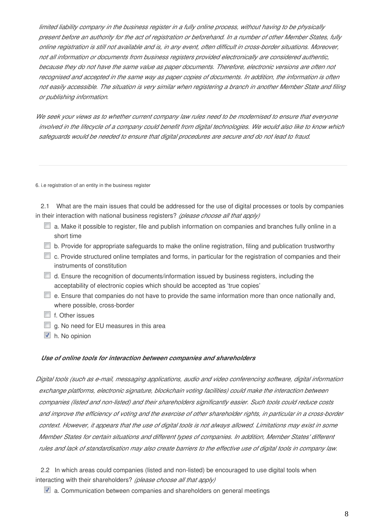*limited liability company in the business register in a fully online process, without having to be physically present before an authority for the act of registration or beforehand. In a number of other Member States, fully online registration is still not available and is, in any event, often difficult in cross-border situations. Moreover, not all information or documents from business registers provided electronically are considered authentic, because they do not have the same value as paper documents. Therefore, electronic versions are often not recognised and accepted in the same way as paper copies of documents. In addition, the information is often not easily accessible. The situation is very similar when registering a branch in another Member State and filing or publishing information.*

*We seek your views as to whether current company law rules need to be modernised to ensure that everyone involved in the lifecycle of a company could benefit from digital technologies. We would also like to know which safeguards would be needed to ensure that digital procedures are secure and do not lead to fraud.*

6. i.e registration of an entity in the business register

2.1 What are the main issues that could be addressed for the use of digital processes or tools by companies in their interaction with national business registers? *(please choose all that apply)*

- $\Box$  a. Make it possible to register, file and publish information on companies and branches fully online in a short time
- b. Provide for appropriate safeguards to make the online registration, filing and publication trustworthy
- c. Provide structured online templates and forms, in particular for the registration of companies and their instruments of constitution
- $\Box$  d. Ensure the recognition of documents/information issued by business registers, including the acceptability of electronic copies which should be accepted as 'true copies'
- $\Box$  e. Ensure that companies do not have to provide the same information more than once nationally and, where possible, cross-border
- $\Box$  f. Other issues
- $\Box$  g. No need for EU measures in this area
- h. No opinion

#### *Use of online tools for interaction between companies and shareholders*

*Digital tools (such as e-mail, messaging applications, audio and video conferencing software, digital information exchange platforms, electronic signature, blockchain voting facilities) could make the interaction between companies (listed and non-listed) and their shareholders significantly easier. Such tools could reduce costs and improve the efficiency of voting and the exercise of other shareholder rights, in particular in a cross-border context. However, it appears that the use of digital tools is not always allowed. Limitations may exist in some Member States for certain situations and different types of companies. In addition, Member States' different rules and lack of standardisation may also create barriers to the effective use of digital tools in company law.*

2.2 In which areas could companies (listed and non-listed) be encouraged to use digital tools when interacting with their shareholders? *(please choose all that apply)*

■ a. Communication between companies and shareholders on general meetings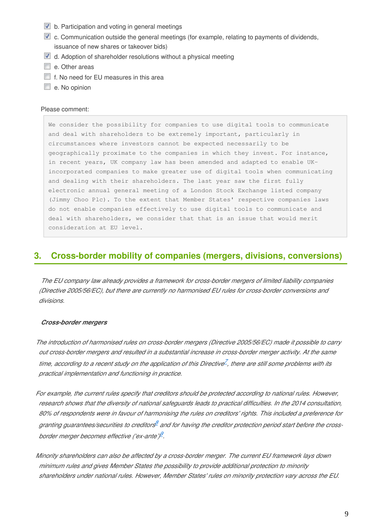- $\blacksquare$  b. Participation and voting in general meetings
- c. Communication outside the general meetings (for example, relating to payments of dividends, issuance of new shares or takeover bids)
- **d.** Adoption of shareholder resolutions without a physical meeting
- e. Other areas
- **f.** No need for EU measures in this area
- e. No opinion

#### Please comment:

We consider the possibility for companies to use digital tools to communicate and deal with shareholders to be extremely important, particularly in circumstances where investors cannot be expected necessarily to be geographically proximate to the companies in which they invest. For instance, in recent years, UK company law has been amended and adapted to enable UKincorporated companies to make greater use of digital tools when communicating and dealing with their shareholders. The last year saw the first fully electronic annual general meeting of a London Stock Exchange listed company (Jimmy Choo Plc). To the extent that Member States' respective companies laws do not enable companies effectively to use digital tools to communicate and deal with shareholders, we consider that that is an issue that would merit consideration at EU level.

### **3. Cross-border mobility of companies (mergers, divisions, conversions)**

*The EU company law already provides a framework for cross-border mergers of limited liability companies (Directive 2005/56/EC), but there are currently no harmonised EU rules for cross-border conversions and divisions.*

#### *Cross-border mergers*

*The introduction of harmonised rules on cross-border mergers (Directive 2005/56/EC) made it possible to carry out cross-border mergers and resulted in a substantial increase in cross-border merger activity. At the same*  time, according to a recent study on the application of this Directive<sup>Z</sup>, there are still some problems with its *practical implementation and functioning in practice.*

*For example, the current rules specify that creditors should be protected according to national rules. However, research shows that the diversity of national safeguards leads to practical difficulties. In the 2014 consultation, 80% of respondents were in favour of harmonising the rules on creditors' rights. This included a preference for*  granting guarantees/securities to creditors and for having the creditor protection period start before the cross*border merger becomes effective ('ex-ante') . 9*

*Minority shareholders can also be affected by a cross-border merger. The current EU framework lays down minimum rules and gives Member States the possibility to provide additional protection to minority shareholders under national rules. However, Member States' rules on minority protection vary across the EU.*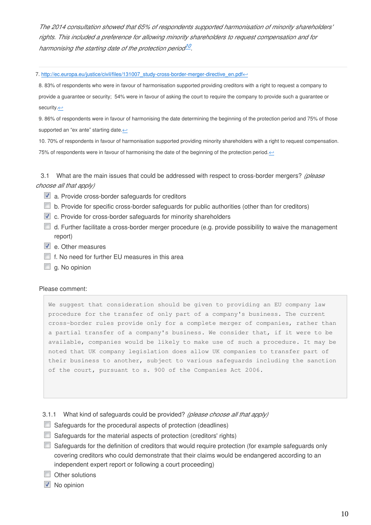*The 2014 consultation showed that 65% of respondents supported harmonisation of minority shareholders' rights. This included a preference for allowing minority shareholders to request compensation and for harmonising the starting date of the protection period . 10*

7. http://ec.europa.eu/justice/civil/files/131007\_study-cross-border-merger-directive\_en.pdf←

8. 83% of respondents who were in favour of harmonisation supported providing creditors with a right to request a company to provide a guarantee or security; 54% were in favour of asking the court to require the company to provide such a guarantee or security.↩

9. 86% of respondents were in favour of harmonising the date determining the beginning of the protection period and 75% of those supported an "ex ante" starting date. $\leftarrow$ 

10. 70% of respondents in favour of harmonisation supported providing minority shareholders with a right to request compensation. 75% of respondents were in favour of harmonising the date of the beginning of the protection period. ←

3.1 What are the main issues that could be addressed with respect to cross-border mergers? *(please choose all that apply)*

- a. Provide cross-border safeguards for creditors
- b. Provide for specific cross-border safeguards for public authorities (other than for creditors)
- c. Provide for cross-border safeguards for minority shareholders
- d. Further facilitate a cross-border merger procedure (e.g. provide possibility to waive the management report)
- e. Other measures
- $\blacksquare$  f. No need for further EU measures in this area
- $\Box$  g. No opinion

#### Please comment:

We suggest that consideration should be given to providing an EU company law procedure for the transfer of only part of a company's business. The current cross-border rules provide only for a complete merger of companies, rather than a partial transfer of a company's business. We consider that, if it were to be available, companies would be likely to make use of such a procedure. It may be noted that UK company legislation does allow UK companies to transfer part of their business to another, subject to various safeguards including the sanction of the court, pursuant to s. 900 of the Companies Act 2006.

3.1.1 What kind of safeguards could be provided? *(please choose all that apply)*

- Safeguards for the procedural aspects of protection (deadlines)
- Safeguards for the material aspects of protection (creditors' rights)
- Safeguards for the definition of creditors that would require protection (for example safeguards only covering creditors who could demonstrate that their claims would be endangered according to an independent expert report or following a court proceeding)
- Other solutions
- No opinion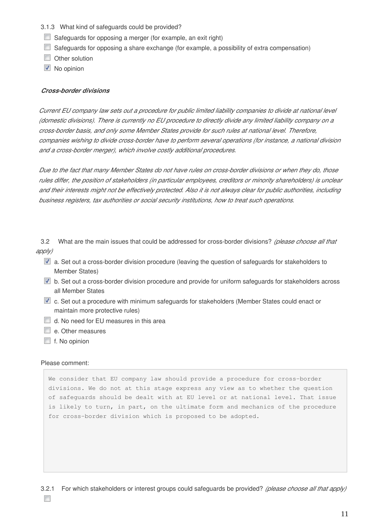- 3.1.3 What kind of safeguards could be provided?
- $\Box$  Safeguards for opposing a merger (for example, an exit right)
- Safeguards for opposing a share exchange (for example, a possibility of extra compensation)
- Other solution
- **No opinion**

#### *Cross-border divisions*

*Current EU company law sets out a procedure for public limited liability companies to divide at national level (domestic divisions). There is currently no EU procedure to directly divide any limited liability company on a cross-border basis, and only some Member States provide for such rules at national level. Therefore, companies wishing to divide cross-border have to perform several operations (for instance, a national division and a cross-border merger), which involve costly additional procedures.*

*Due to the fact that many Member States do not have rules on cross-border divisions or when they do, those rules differ, the position of stakeholders (in particular employees, creditors or minority shareholders) is unclear and their interests might not be effectively protected. Also it is not always clear for public authorities, including business registers, tax authorities or social security institutions, how to treat such operations.*

3.2 What are the main issues that could be addressed for cross-border divisions? *(please choose all that apply)*

- a. Set out a cross-border division procedure (leaving the question of safeguards for stakeholders to Member States)
- **D** b. Set out a cross-border division procedure and provide for uniform safeguards for stakeholders across all Member States
- c. Set out a procedure with minimum safeguards for stakeholders (Member States could enact or maintain more protective rules)
- d. No need for EU measures in this area
- e. Other measures
- $\blacksquare$  f. No opinion

#### Please comment:

We consider that EU company law should provide a procedure for cross-border divisions. We do not at this stage express any view as to whether the question of safeguards should be dealt with at EU level or at national level. That issue is likely to turn, in part, on the ultimate form and mechanics of the procedure for cross-border division which is proposed to be adopted.

 $\overline{\phantom{a}}$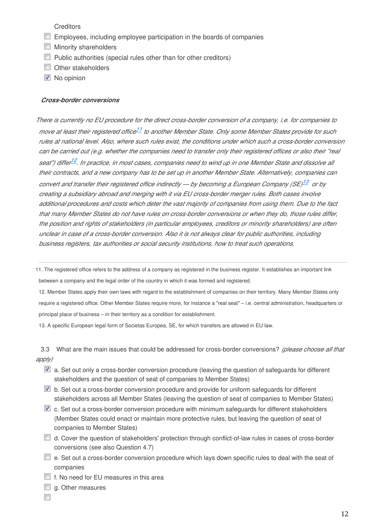**Creditors** 

- **Employees, including employee participation in the boards of companies**
- **Minority shareholders**
- $\Box$  Public authorities (special rules other than for other creditors)
- Other stakeholders
- No opinion

#### *Cross-border conversions*

*There is currently no EU procedure for the direct cross-border conversion of a company, i.e. for companies to move at least their registered office<sup>11</sup> to another Member State. Only some Member States provide for such rules at national level. Also, where such rules exist, the conditions under which such a cross-border conversion can be carried out (e.g. whether the companies need to transfer only their registered offices or also their "real*  seat") differ<sup>12</sup>. In practice, in most cases, companies need to wind up in one Member State and dissolve all *their contracts, and a new company has to be set up in another Member State. Alternatively, companies can convert and transfer their registered office indirectly — by becoming a European Company (SE) 13 or by creating a subsidiary abroad and merging with it via EU cross-border merger rules. Both cases involve additional procedures and costs which deter the vast majority of companies from using them. Due to the fact that many Member States do not have rules on cross-border conversions or when they do, those rules differ, the position and rights of stakeholders (in particular employees, creditors or minority shareholders) are often unclear in case of a cross-border conversion. Also it is not always clear for public authorities, including business registers, tax authorities or social security institutions, how to treat such operations.*

11. The registered office refers to the address of a company as registered in the business register. It establishes an important link between a company and the legal order of the country in which it was formed and registered.

12. Member States apply their own laws with regard to the establishment of companies on their territory. Many Member States only require a registered office. Other Member States require more, for instance a "real seat" – i.e. central administration, headquarters or principal place of business – in their territory as a condition for establishment.

13. A specific European legal form of Societas Europea, SE, for which transfers are allowed in EU law.

3.3 What are the main issues that could be addressed for cross-border conversions? *(please choose all that apply)*

- a. Set out only a cross-border conversion procedure (leaving the question of safeguards for different stakeholders and the question of seat of companies to Member States)
- b. Set out a cross-border conversion procedure and provide for uniform safeguards for different stakeholders across all Member States (leaving the question of seat of companies to Member States)
- $\blacksquare$  c. Set out a cross-border conversion procedure with minimum safeguards for different stakeholders (Member States could enact or maintain more protective rules, but leaving the question of seat of companies to Member States)
- d. Cover the question of stakeholders' protection through conflict-of-law rules in cases of cross-border conversions (see also Question 4.7)
- $\Box$  e. Set out a cross-border conversion procedure which lays down specific rules to deal with the seat of companies
- $\Box$  f. No need for EU measures in this area
- $\Box$  g. Other measures

 $\Box$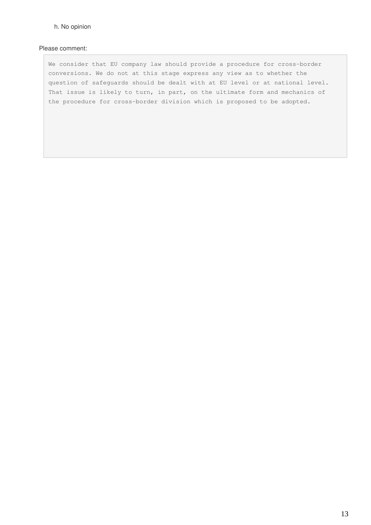#### h. No opinion

#### Please comment:

We consider that EU company law should provide a procedure for cross-border conversions. We do not at this stage express any view as to whether the question of safeguards should be dealt with at EU level or at national level. That issue is likely to turn, in part, on the ultimate form and mechanics of the procedure for cross-border division which is proposed to be adopted.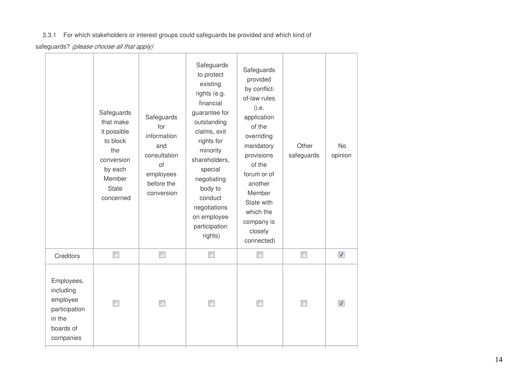### 3.3.1 For which stakeholders or interest groups could safeguards be provided and which kind of

safeguards? *(please choose all that apply)*

|                                                                                          | Safeguards<br>that make<br>it possible<br>to block<br>the<br>conversion<br>by each<br>Member<br><b>State</b><br>concerned | Safeguards<br>for<br>information<br>and<br>consultation<br>of<br>employees<br>before the<br>conversion | Safeguards<br>to protect<br>existing<br>rights (e.g.<br>financial<br>guarantee for<br>outstanding<br>claims, exit<br>rights for<br>minority<br>shareholders,<br>special<br>negotiating<br>body to<br>conduct<br>negotiations<br>on employee<br>participation<br>rights) | Safeguards<br>provided<br>by conflict-<br>of-law rules<br>(i.e.<br>application<br>of the<br>overriding<br>mandatory<br>provisions<br>of the<br>forum or of<br>another<br>Member<br>State with<br>which the<br>company is<br>closely<br>connected) | Other<br>safeguards | <b>No</b><br>opinion     |
|------------------------------------------------------------------------------------------|---------------------------------------------------------------------------------------------------------------------------|--------------------------------------------------------------------------------------------------------|-------------------------------------------------------------------------------------------------------------------------------------------------------------------------------------------------------------------------------------------------------------------------|---------------------------------------------------------------------------------------------------------------------------------------------------------------------------------------------------------------------------------------------------|---------------------|--------------------------|
| Creditors                                                                                | $\Box$                                                                                                                    | $\Box$                                                                                                 | $\Box$                                                                                                                                                                                                                                                                  | П                                                                                                                                                                                                                                                 | $\Box$              | $\overline{\mathcal{J}}$ |
| Employees,<br>including<br>employee<br>participation<br>in the<br>boards of<br>companies |                                                                                                                           |                                                                                                        |                                                                                                                                                                                                                                                                         |                                                                                                                                                                                                                                                   | $\Box$              | $\overline{\mathcal{J}}$ |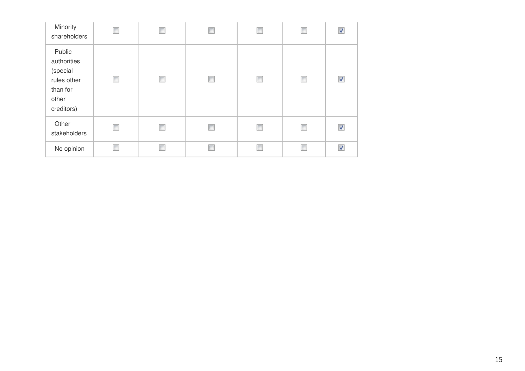| Minority<br>shareholders                                                            | П | П | $\blacksquare$           | Ē              | П      | ⊽ |
|-------------------------------------------------------------------------------------|---|---|--------------------------|----------------|--------|---|
| Public<br>authorities<br>(special<br>rules other<br>than for<br>other<br>creditors) | П | П | П                        | $\blacksquare$ | $\Box$ | √ |
| Other<br>stakeholders                                                               | П | П | $\overline{\phantom{a}}$ | г              | П      | V |
| No opinion                                                                          |   | П |                          |                | Г      | ⊽ |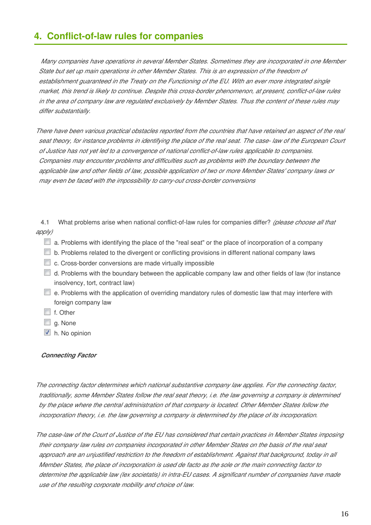## **4. Conflict-of-law rules for companies**

*Many companies have operations in several Member States. Sometimes they are incorporated in one Member*  State but set up main operations in other Member States. This is an expression of the freedom of *establishment guaranteed in the Treaty on the Functioning of the EU. With an ever more integrated single market, this trend is likely to continue. Despite this cross-border phenomenon, at present, conflict-of-law rules in the area of company law are regulated exclusively by Member States. Thus the content of these rules may differ substantially.*

*There have been various practical obstacles reported from the countries that have retained an aspect of the real seat theory, for instance problems in identifying the place of the real seat. The case- law of the European Court of Justice has not yet led to a convergence of national conflict-of-law rules applicable to companies. Companies may encounter problems and difficulties such as problems with the boundary between the applicable law and other fields of law, possible application of two or more Member States' company laws or may even be faced with the impossibility to carry-out cross-border conversions*

4.1 What problems arise when national conflict-of-law rules for companies differ? *(please choose all that apply)*

- $\Box$  a. Problems with identifying the place of the "real seat" or the place of incorporation of a company
- $\Box$  b. Problems related to the divergent or conflicting provisions in different national company laws
- c. Cross-border conversions are made virtually impossible
- $\Box$  d. Problems with the boundary between the applicable company law and other fields of law (for instance insolvency, tort, contract law)
- $\Box$  e. Problems with the application of overriding mandatory rules of domestic law that may interfere with foreign company law
- f. Other
- g. None
- h. No opinion

#### *Connecting Factor*

*The connecting factor determines which national substantive company law applies. For the connecting factor, traditionally, some Member States follow the real seat theory, i.e. the law governing a company is determined by the place where the central administration of that company is located. Other Member States follow the incorporation theory, i.e. the law governing a company is determined by the place of its incorporation.*

*The case-law of the Court of Justice of the EU has considered that certain practices in Member States imposing their company law rules on companies incorporated in other Member States on the basis of the real seat approach are an unjustified restriction to the freedom of establishment. Against that background, today in all Member States, the place of incorporation is used de facto as the sole or the main connecting factor to determine the applicable law (lex societatis) in intra-EU cases. A significant number of companies have made use of the resulting corporate mobility and choice of law.*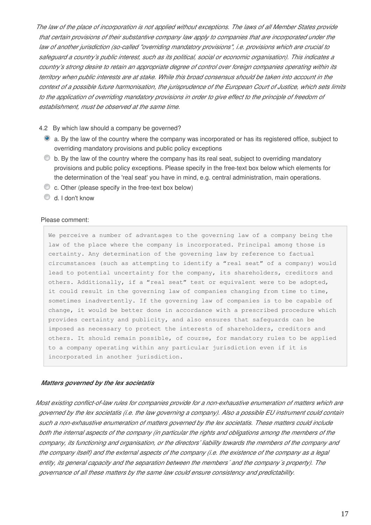*The law of the place of incorporation is not applied without exceptions. The laws of all Member States provide that certain provisions of their substantive company law apply to companies that are incorporated under the law of another jurisdiction (so-called "overriding mandatory provisions", i.e. provisions which are crucial to safeguard a country's public interest, such as its political, social or economic organisation). This indicates a country's strong desire to retain an appropriate degree of control over foreign companies operating within its territory when public interests are at stake. While this broad consensus should be taken into account in the context of a possible future harmonisation, the jurisprudence of the European Court of Justice, which sets limits*  to the application of overriding mandatory provisions in order to give effect to the principle of freedom of *establishment, must be observed at the same time.*

#### 4.2 By which law should a company be governed?

- a. By the law of the country where the company was incorporated or has its registered office, subject to overriding mandatory provisions and public policy exceptions
- $\bullet$  b. By the law of the country where the company has its real seat, subject to overriding mandatory provisions and public policy exceptions. Please specify in the free-text box below which elements for the determination of the 'real seat' you have in mind, e.g. central administration, main operations.
- c. Other (please specify in the free-text box below)
- d. I don't know

#### Please comment:

We perceive a number of advantages to the governing law of a company being the law of the place where the company is incorporated. Principal among those is certainty. Any determination of the governing law by reference to factual circumstances (such as attempting to identify a "real seat" of a company) would lead to potential uncertainty for the company, its shareholders, creditors and others. Additionally, if a "real seat" test or equivalent were to be adopted, it could result in the governing law of companies changing from time to time, sometimes inadvertently. If the governing law of companies is to be capable of change, it would be better done in accordance with a prescribed procedure which provides certainty and publicity, and also ensures that safeguards can be imposed as necessary to protect the interests of shareholders, creditors and others. It should remain possible, of course, for mandatory rules to be applied to a company operating within any particular jurisdiction even if it is incorporated in another jurisdiction.

#### *Matters governed by the lex societatis*

*Most existing conflict-of-law rules for companies provide for a non-exhaustive enumeration of matters which are governed by the lex societatis (i.e. the law governing a company). Also a possible EU instrument could contain such a non-exhaustive enumeration of matters governed by the lex societatis. These matters could include both the internal aspects of the company (in particular the rights and obligations among the members of the company, its functioning and organisation, or the directors' liability towards the members of the company and the company itself) and the external aspects of the company (i.e. the existence of the company as a legal entity, its general capacity and the separation between the members´ and the company´s property). The governance of all these matters by the same law could ensure consistency and predictability.*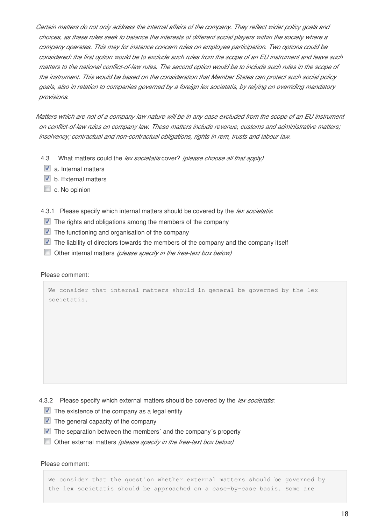*Certain matters do not only address the internal affairs of the company. They reflect wider policy goals and choices, as these rules seek to balance the interests of different social players within the society where a company operates. This may for instance concern rules on employee participation. Two options could be considered: the first option would be to exclude such rules from the scope of an EU instrument and leave such matters to the national conflict-of-law rules. The second option would be to include such rules in the scope of the instrument. This would be based on the consideration that Member States can protect such social policy goals, also in relation to companies governed by a foreign lex societatis, by relying on overriding mandatory provisions.*

*Matters which are not of a company law nature will be in any case excluded from the scope of an EU instrument on conflict-of-law rules on company law. These matters include revenue, customs and administrative matters; insolvency; contractual and non-contractual obligations, rights in rem, trusts and labour law.*

- 4.3 What matters could the *lex societatis* cover? *(please choose all that apply)*
	- $\triangledown$  a. Internal matters
- $\triangledown$  b. External matters
- $\Box$  c. No opinion
- 4.3.1 Please specify which internal matters should be covered by the *lex societatis*:
- $\blacksquare$  The rights and obligations among the members of the company
- $\blacksquare$  The functioning and organisation of the company
- $\blacksquare$  The liability of directors towards the members of the company and the company itself
- Other internal matters *(please specify in the free-text box below)*

#### Please comment:

We consider that internal matters should in general be governed by the lex societatis.

4.3.2 Please specify which external matters should be covered by the *lex societatis*:

- $\blacksquare$  The existence of the company as a legal entity
- $\triangledown$  The general capacity of the company
- $\blacksquare$  The separation between the members' and the company's property
- Other external matters *(please specify in the free-text box below)*

#### Please comment:

We consider that the question whether external matters should be governed by the lex societatis should be approached on a case-by-case basis. Some are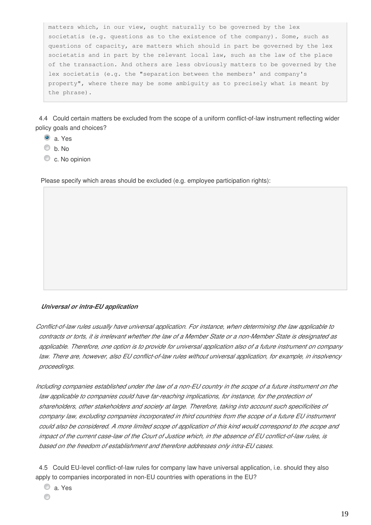matters which, in our view, ought naturally to be governed by the lex societatis (e.g. questions as to the existence of the company). Some, such as questions of capacity, are matters which should in part be governed by the lex societatis and in part by the relevant local law, such as the law of the place of the transaction. And others are less obviously matters to be governed by the lex societatis (e.g. the "separation between the members' and company's property", where there may be some ambiguity as to precisely what is meant by the phrase).

4.4 Could certain matters be excluded from the scope of a uniform conflict-of-law instrument reflecting wider policy goals and choices?

- a. Yes
- b. No
- C c. No opinion

Please specify which areas should be excluded (e.g. employee participation rights):

#### *Universal or intra-EU application*

*Conflict-of-law rules usually have universal application. For instance, when determining the law applicable to contracts or torts, it is irrelevant whether the law of a Member State or a non-Member State is designated as applicable. Therefore, one option is to provide for universal application also of a future instrument on company law. There are, however, also EU conflict-of-law rules without universal application, for example, in insolvency proceedings.*

*Including companies established under the law of a non-EU country in the scope of a future instrument on the*  law applicable to companies could have far-reaching implications, for instance, for the protection of *shareholders, other stakeholders and society at large. Therefore, taking into account such specificities of company law, excluding companies incorporated in third countries from the scope of a future EU instrument could also be considered. A more limited scope of application of this kind would correspond to the scope and impact of the current case-law of the Court of Justice which, in the absence of EU conflict-of-law rules, is based on the freedom of establishment and therefore addresses only intra-EU cases.*

4.5 Could EU-level conflict-of-law rules for company law have universal application, i.e. should they also apply to companies incorporated in non-EU countries with operations in the EU?

a. Yes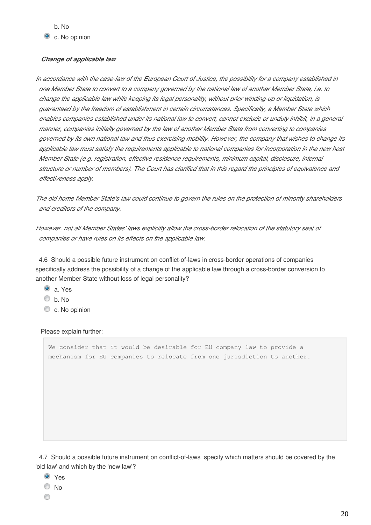#### *Change of applicable law*

*In accordance with the case-law of the European Court of Justice, the possibility for a company established in one Member State to convert to a company governed by the national law of another Member State, i.e. to change the applicable law while keeping its legal personality, without prior winding-up or liquidation, is guaranteed by the freedom of establishment in certain circumstances. Specifically, a Member State which enables companies established under its national law to convert, cannot exclude or unduly inhibit, in a general manner, companies initially governed by the law of another Member State from converting to companies governed by its own national law and thus exercising mobility. However, the company that wishes to change its applicable law must satisfy the requirements applicable to national companies for incorporation in the new host Member State (e.g. registration, effective residence requirements, minimum capital, disclosure, internal structure or number of members). The Court has clarified that in this regard the principles of equivalence and effectiveness apply.*

*The old home Member State's law could continue to govern the rules on the protection of minority shareholders and creditors of the company.*

*However, not all Member States' laws explicitly allow the cross-border relocation of the statutory seat of companies or have rules on its effects on the applicable law.*

4.6 Should a possible future instrument on conflict-of-laws in cross-border operations of companies specifically address the possibility of a change of the applicable law through a cross-border conversion to another Member State without loss of legal personality?

- a. Yes
- $\circ$  b. No
- C c. No opinion

Please explain further:

We consider that it would be desirable for EU company law to provide a mechanism for EU companies to relocate from one jurisdiction to another.

4.7 Should a possible future instrument on conflict-of-laws specify which matters should be covered by the 'old law' and which by the 'new law'?

- **O** Yes
- $\odot$  No
- ◉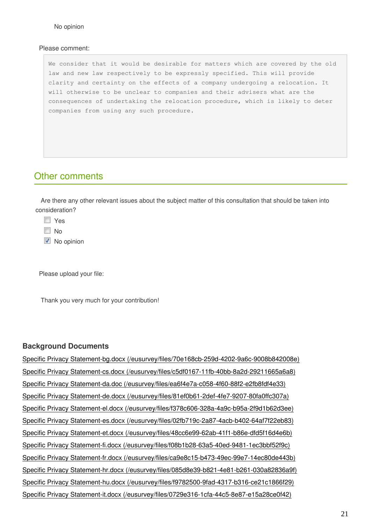#### Please comment:

We consider that it would be desirable for matters which are covered by the old law and new law respectively to be expressly specified. This will provide clarity and certainty on the effects of a company undergoing a relocation. It will otherwise to be unclear to companies and their advisers what are the consequences of undertaking the relocation procedure, which is likely to deter companies from using any such procedure.

### Other comments

Are there any other relevant issues about the subject matter of this consultation that should be taken into consideration?

**N** Yes

 $\Box$  No

 $\blacksquare$  No opinion

Please upload your file:

Thank you very much for your contribution!

#### **Background Documents**

Specific Privacy Statement-bg.docx (/eusurvey/files/70e168cb-259d-4202-9a6c-9008b842008e) Specific Privacy Statement-cs.docx (/eusurvey/files/c5df0167-11fb-40bb-8a2d-29211665a6a8) Specific Privacy Statement-da.doc (/eusurvey/files/ea6f4e7a-c058-4f60-88f2-e2fb8fdf4e33) Specific Privacy Statement-de.docx (/eusurvey/files/81ef0b61-2def-4fe7-9207-80fa0ffc307a) Specific Privacy Statement-el.docx (/eusurvey/files/f378c606-328a-4a9c-b95a-2f9d1b62d3ee) Specific Privacy Statement-es.docx (/eusurvey/files/02fb719c-2a87-4acb-b402-64af7f22eb83) Specific Privacy Statement-et.docx (/eusurvey/files/48cc6e99-62ab-41f1-b86e-dfd5f16d4e6b) Specific Privacy Statement-fi.docx (/eusurvey/files/f08b1b28-63a5-40ed-9481-1ec3bbf52f9c) Specific Privacy Statement-fr.docx (/eusurvey/files/ca9e8c15-b473-49ec-99e7-14ec80de443b) Specific Privacy Statement-hr.docx (/eusurvey/files/085d8e39-b821-4e81-b261-030a82836a9f) Specific Privacy Statement-hu.docx (/eusurvey/files/f9782500-9fad-4317-b316-ce21c1866f29) Specific Privacy Statement-it.docx (/eusurvey/files/0729e316-1cfa-44c5-8e87-e15a28ce0f42)